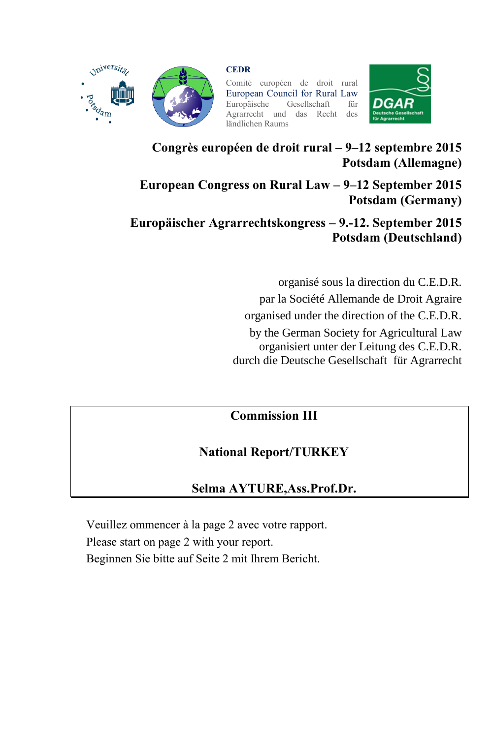

*Spiversitz* 

**CEDR**

Comité européen de droit rural European Council for Rural Law<br>Europäische Gesellschaft für Gesellschaft Agrarrecht und das Recht des ländlichen Raums



#### **Congrès européen de droit rural – 9–12 septembre 2015 Potsdam (Allemagne)**

**European Congress on Rural Law – 9–12 September 2015 Potsdam (Germany)**

**Europäischer Agrarrechtskongress – 9.-12. September 2015 Potsdam (Deutschland)**

> organisé sous la direction du C.E.D.R. par la Société Allemande de Droit Agraire organised under the direction of the C.E.D.R. by the German Society for Agricultural Law organisiert unter der Leitung des C.E.D.R. durch die Deutsche Gesellschaft für Agrarrecht

# **Commission III**

# **National Report/TURKEY**

# **Selma AYTURE,Ass.Prof.Dr.**

Veuillez ommencer à la page 2 avec votre rapport. Please start on page 2 with your report. Beginnen Sie bitte auf Seite 2 mit Ihrem Bericht.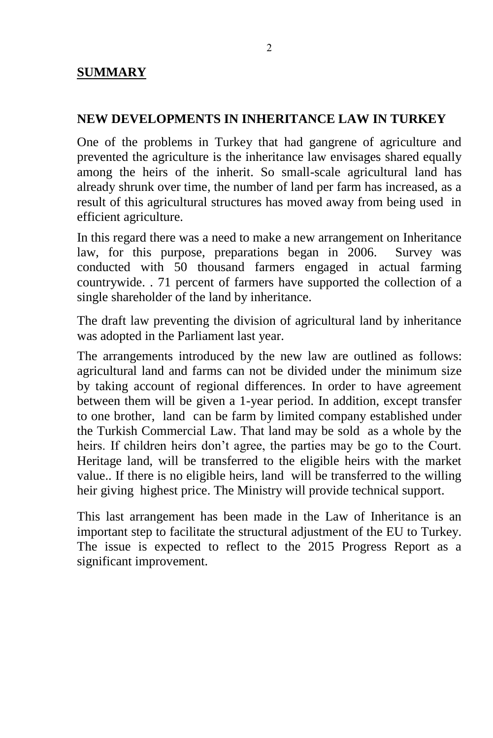#### **NEW DEVELOPMENTS IN INHERITANCE LAW IN TURKEY**

One of the problems in Turkey that had gangrene of agriculture and prevented the agriculture is the inheritance law envisages shared equally among the heirs of the inherit. So small-scale agricultural land has already shrunk over time, the number of land per farm has increased, as a result of this agricultural structures has moved away from being used in efficient agriculture.

In this regard there was a need to make a new arrangement on Inheritance law, for this purpose, preparations began in 2006. Survey was conducted with 50 thousand farmers engaged in actual farming countrywide. . 71 percent of farmers have supported the collection of a single shareholder of the land by inheritance.

The draft law preventing the division of agricultural land by inheritance was adopted in the Parliament last year.

The arrangements introduced by the new law are outlined as follows: agricultural land and farms can not be divided under the minimum size by taking account of regional differences. In order to have agreement between them will be given a 1-year period. In addition, except transfer to one brother, land can be farm by limited company established under the Turkish Commercial Law. That land may be sold as a whole by the heirs. If children heirs don't agree, the parties may be go to the Court. Heritage land, will be transferred to the eligible heirs with the market value.. If there is no eligible heirs, land will be transferred to the willing heir giving highest price. The Ministry will provide technical support.

This last arrangement has been made in the Law of Inheritance is an important step to facilitate the structural adjustment of the EU to Turkey. The issue is expected to reflect to the 2015 Progress Report as a significant improvement.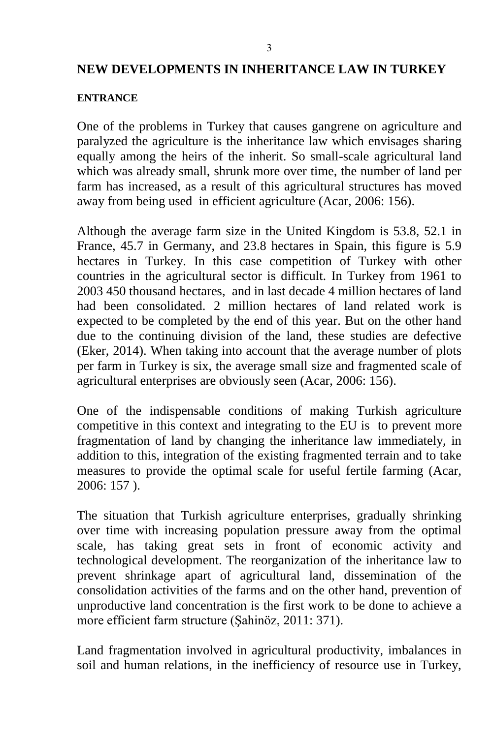#### **NEW DEVELOPMENTS IN INHERITANCE LAW IN TURKEY**

#### **ENTRANCE**

One of the problems in Turkey that causes gangrene on agriculture and paralyzed the agriculture is the inheritance law which envisages sharing equally among the heirs of the inherit. So small-scale agricultural land which was already small, shrunk more over time, the number of land per farm has increased, as a result of this agricultural structures has moved away from being used in efficient agriculture (Acar, 2006: 156).

Although the average farm size in the United Kingdom is 53.8, 52.1 in France, 45.7 in Germany, and 23.8 hectares in Spain, this figure is 5.9 hectares in Turkey. In this case competition of Turkey with other countries in the agricultural sector is difficult. In Turkey from 1961 to 2003 450 thousand hectares, and in last decade 4 million hectares of land had been consolidated. 2 million hectares of land related work is expected to be completed by the end of this year. But on the other hand due to the continuing division of the land, these studies are defective (Eker, 2014). When taking into account that the average number of plots per farm in Turkey is six, the average small size and fragmented scale of agricultural enterprises are obviously seen (Acar, 2006: 156).

One of the indispensable conditions of making Turkish agriculture competitive in this context and integrating to the EU is to prevent more fragmentation of land by changing the inheritance law immediately, in addition to this, integration of the existing fragmented terrain and to take measures to provide the optimal scale for useful fertile farming (Acar, 2006: 157 ).

The situation that Turkish agriculture enterprises, gradually shrinking over time with increasing population pressure away from the optimal scale, has taking great sets in front of economic activity and technological development. The reorganization of the inheritance law to prevent shrinkage apart of agricultural land, dissemination of the consolidation activities of the farms and on the other hand, prevention of unproductive land concentration is the first work to be done to achieve a more efficient farm structure (Şahinöz, 2011: 371).

Land fragmentation involved in agricultural productivity, imbalances in soil and human relations, in the inefficiency of resource use in Turkey,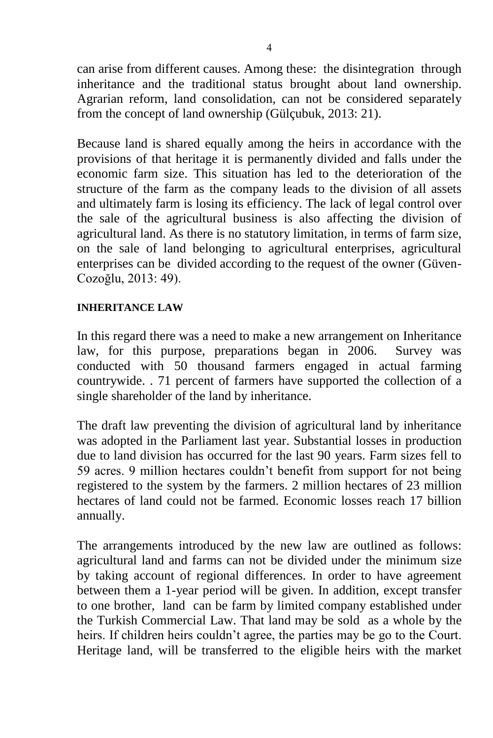can arise from different causes. Among these: the disintegration through inheritance and the traditional status brought about land ownership. Agrarian reform, land consolidation, can not be considered separately from the concept of land ownership (Gülçubuk, 2013: 21).

Because land is shared equally among the heirs in accordance with the provisions of that heritage it is permanently divided and falls under the economic farm size. This situation has led to the deterioration of the structure of the farm as the company leads to the division of all assets and ultimately farm is losing its efficiency. The lack of legal control over the sale of the agricultural business is also affecting the division of agricultural land. As there is no statutory limitation, in terms of farm size, on the sale of land belonging to agricultural enterprises, agricultural enterprises can be divided according to the request of the owner (Güven-Cozoğlu, 2013: 49).

#### **INHERITANCE LAW**

In this regard there was a need to make a new arrangement on Inheritance law, for this purpose, preparations began in 2006. Survey was conducted with 50 thousand farmers engaged in actual farming countrywide. . 71 percent of farmers have supported the collection of a single shareholder of the land by inheritance.

The draft law preventing the division of agricultural land by inheritance was adopted in the Parliament last year. Substantial losses in production due to land division has occurred for the last 90 years. Farm sizes fell to 59 acres. 9 million hectares couldn't benefit from support for not being registered to the system by the farmers. 2 million hectares of 23 million hectares of land could not be farmed. Economic losses reach 17 billion annually.

The arrangements introduced by the new law are outlined as follows: agricultural land and farms can not be divided under the minimum size by taking account of regional differences. In order to have agreement between them a 1-year period will be given. In addition, except transfer to one brother, land can be farm by limited company established under the Turkish Commercial Law. That land may be sold as a whole by the heirs. If children heirs couldn't agree, the parties may be go to the Court. Heritage land, will be transferred to the eligible heirs with the market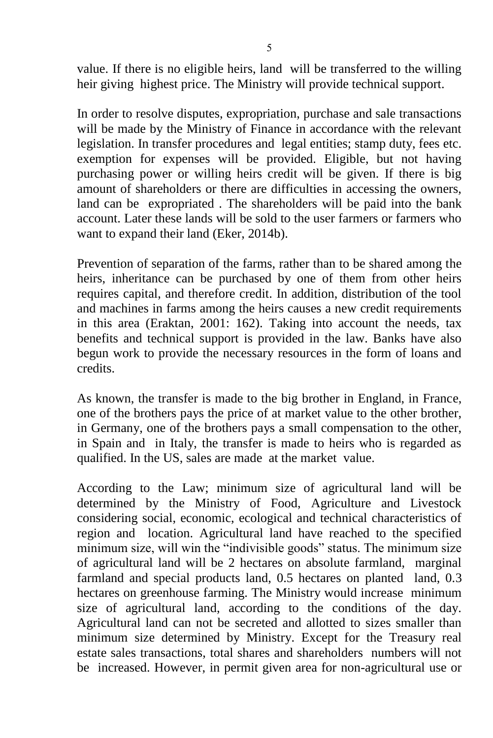value. If there is no eligible heirs, land will be transferred to the willing heir giving highest price. The Ministry will provide technical support.

In order to resolve disputes, expropriation, purchase and sale transactions will be made by the Ministry of Finance in accordance with the relevant legislation. In transfer procedures and legal entities; stamp duty, fees etc. exemption for expenses will be provided. Eligible, but not having purchasing power or willing heirs credit will be given. If there is big amount of shareholders or there are difficulties in accessing the owners, land can be expropriated . The shareholders will be paid into the bank account. Later these lands will be sold to the user farmers or farmers who want to expand their land (Eker, 2014b).

Prevention of separation of the farms, rather than to be shared among the heirs, inheritance can be purchased by one of them from other heirs requires capital, and therefore credit. In addition, distribution of the tool and machines in farms among the heirs causes a new credit requirements in this area (Eraktan, 2001: 162). Taking into account the needs, tax benefits and technical support is provided in the law. Banks have also begun work to provide the necessary resources in the form of loans and credits.

As known, the transfer is made to the big brother in England, in France, one of the brothers pays the price of at market value to the other brother, in Germany, one of the brothers pays a small compensation to the other, in Spain and in Italy, the transfer is made to heirs who is regarded as qualified. In the US, sales are made at the market value.

According to the Law; minimum size of agricultural land will be determined by the Ministry of Food, Agriculture and Livestock considering social, economic, ecological and technical characteristics of region and location. Agricultural land have reached to the specified minimum size, will win the "indivisible goods" status. The minimum size of agricultural land will be 2 hectares on absolute farmland, marginal farmland and special products land, 0.5 hectares on planted land, 0.3 hectares on greenhouse farming. The Ministry would increase minimum size of agricultural land, according to the conditions of the day. Agricultural land can not be secreted and allotted to sizes smaller than minimum size determined by Ministry. Except for the Treasury real estate sales transactions, total shares and shareholders numbers will not be increased. However, in permit given area for non-agricultural use or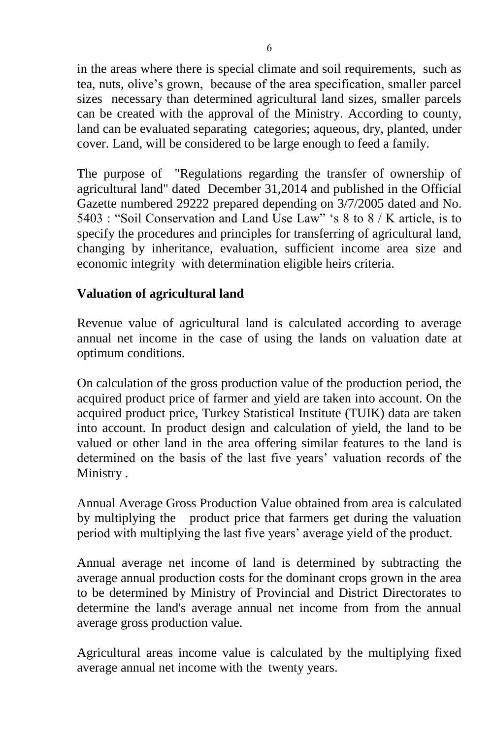in the areas where there is special climate and soil requirements, such as tea, nuts, olive's grown, because of the area specification, smaller parcel sizes necessary than determined agricultural land sizes, smaller parcels can be created with the approval of the Ministry. According to county, land can be evaluated separating categories; aqueous, dry, planted, under cover. Land, will be considered to be large enough to feed a family.

The purpose of "Regulations regarding the transfer of ownership of agricultural land" dated December 31,2014 and published in the Official Gazette numbered 29222 prepared depending on 3/7/2005 dated and No. 5403 : "Soil Conservation and Land Use Law" 's 8 to 8 / K article, is to specify the procedures and principles for transferring of agricultural land, changing by inheritance, evaluation, sufficient income area size and economic integrity with determination eligible heirs criteria.

# **Valuation of agricultural land**

Revenue value of agricultural land is calculated according to average annual net income in the case of using the lands on valuation date at optimum conditions.

On calculation of the gross production value of the production period, the acquired product price of farmer and yield are taken into account. On the acquired product price, Turkey Statistical Institute (TUIK) data are taken into account. In product design and calculation of yield, the land to be valued or other land in the area offering similar features to the land is determined on the basis of the last five years' valuation records of the Ministry .

Annual Average Gross Production Value obtained from area is calculated by multiplying the product price that farmers get during the valuation period with multiplying the last five years' average yield of the product.

Annual average net income of land is determined by subtracting the average annual production costs for the dominant crops grown in the area to be determined by Ministry of Provincial and District Directorates to determine the land's average annual net income from from the annual average gross production value.

Agricultural areas income value is calculated by the multiplying fixed average annual net income with the twenty years.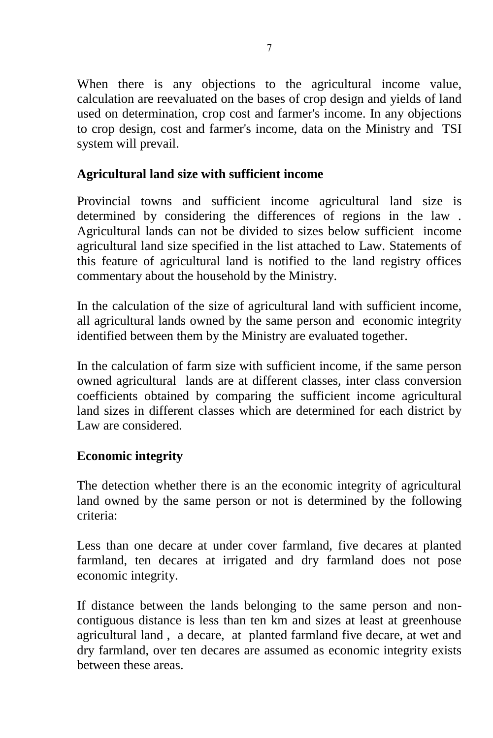When there is any objections to the agricultural income value, calculation are reevaluated on the bases of crop design and yields of land used on determination, crop cost and farmer's income. In any objections to crop design, cost and farmer's income, data on the Ministry and TSI system will prevail.

#### **Agricultural land size with sufficient income**

Provincial towns and sufficient income agricultural land size is determined by considering the differences of regions in the law . Agricultural lands can not be divided to sizes below sufficient income agricultural land size specified in the list attached to Law. Statements of this feature of agricultural land is notified to the land registry offices commentary about the household by the Ministry.

In the calculation of the size of agricultural land with sufficient income, all agricultural lands owned by the same person and economic integrity identified between them by the Ministry are evaluated together.

In the calculation of farm size with sufficient income, if the same person owned agricultural lands are at different classes, inter class conversion coefficients obtained by comparing the sufficient income agricultural land sizes in different classes which are determined for each district by Law are considered.

# **Economic integrity**

The detection whether there is an the economic integrity of agricultural land owned by the same person or not is determined by the following criteria:

Less than one decare at under cover farmland, five decares at planted farmland, ten decares at irrigated and dry farmland does not pose economic integrity.

If distance between the lands belonging to the same person and noncontiguous distance is less than ten km and sizes at least at greenhouse agricultural land , a decare, at planted farmland five decare, at wet and dry farmland, over ten decares are assumed as economic integrity exists between these areas.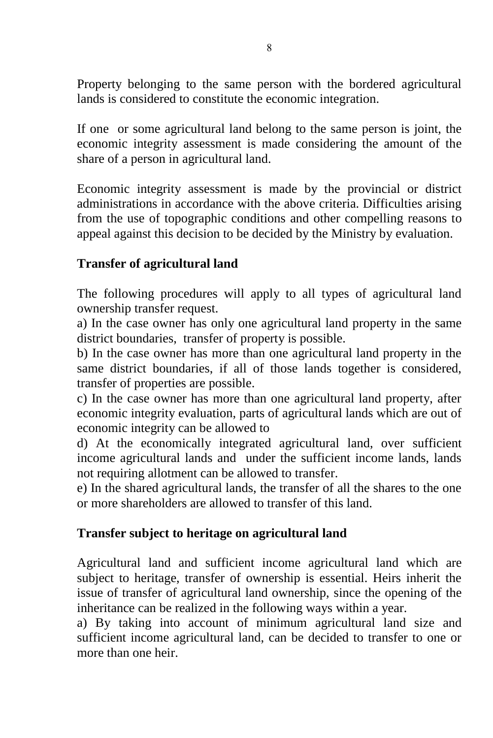Property belonging to the same person with the bordered agricultural lands is considered to constitute the economic integration.

If one or some agricultural land belong to the same person is joint, the economic integrity assessment is made considering the amount of the share of a person in agricultural land.

Economic integrity assessment is made by the provincial or district administrations in accordance with the above criteria. Difficulties arising from the use of topographic conditions and other compelling reasons to appeal against this decision to be decided by the Ministry by evaluation.

# **Transfer of agricultural land**

The following procedures will apply to all types of agricultural land ownership transfer request.

a) In the case owner has only one agricultural land property in the same district boundaries, transfer of property is possible.

b) In the case owner has more than one agricultural land property in the same district boundaries, if all of those lands together is considered, transfer of properties are possible.

c) In the case owner has more than one agricultural land property, after economic integrity evaluation, parts of agricultural lands which are out of economic integrity can be allowed to

d) At the economically integrated agricultural land, over sufficient income agricultural lands and under the sufficient income lands, lands not requiring allotment can be allowed to transfer.

e) In the shared agricultural lands, the transfer of all the shares to the one or more shareholders are allowed to transfer of this land.

# **Transfer subject to heritage on agricultural land**

Agricultural land and sufficient income agricultural land which are subject to heritage, transfer of ownership is essential. Heirs inherit the issue of transfer of agricultural land ownership, since the opening of the inheritance can be realized in the following ways within a year.

a) By taking into account of minimum agricultural land size and sufficient income agricultural land, can be decided to transfer to one or more than one heir.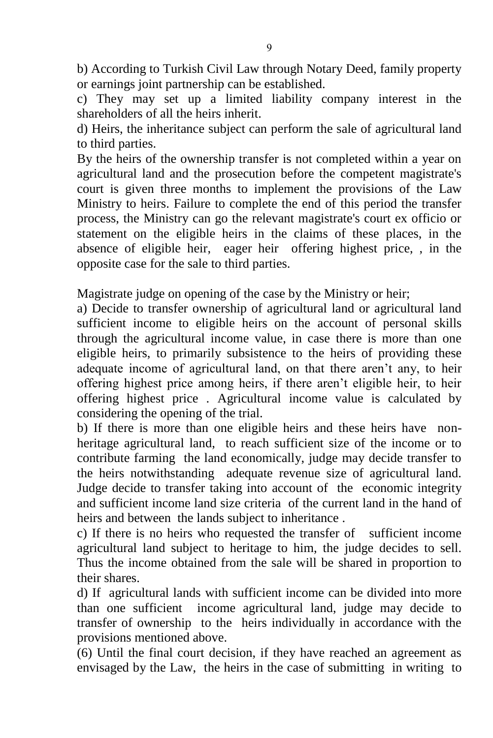b) According to Turkish Civil Law through Notary Deed, family property or earnings joint partnership can be established.

c) They may set up a limited liability company interest in the shareholders of all the heirs inherit.

d) Heirs, the inheritance subject can perform the sale of agricultural land to third parties.

By the heirs of the ownership transfer is not completed within a year on agricultural land and the prosecution before the competent magistrate's court is given three months to implement the provisions of the Law Ministry to heirs. Failure to complete the end of this period the transfer process, the Ministry can go the relevant magistrate's court ex officio or statement on the eligible heirs in the claims of these places, in the absence of eligible heir, eager heir offering highest price, , in the opposite case for the sale to third parties.

Magistrate judge on opening of the case by the Ministry or heir;

a) Decide to transfer ownership of agricultural land or agricultural land sufficient income to eligible heirs on the account of personal skills through the agricultural income value, in case there is more than one eligible heirs, to primarily subsistence to the heirs of providing these adequate income of agricultural land, on that there aren't any, to heir offering highest price among heirs, if there aren't eligible heir, to heir offering highest price . Agricultural income value is calculated by considering the opening of the trial.

b) If there is more than one eligible heirs and these heirs have nonheritage agricultural land, to reach sufficient size of the income or to contribute farming the land economically, judge may decide transfer to the heirs notwithstanding adequate revenue size of agricultural land. Judge decide to transfer taking into account of the economic integrity and sufficient income land size criteria of the current land in the hand of heirs and between the lands subject to inheritance .

c) If there is no heirs who requested the transfer of sufficient income agricultural land subject to heritage to him, the judge decides to sell. Thus the income obtained from the sale will be shared in proportion to their shares.

d) If agricultural lands with sufficient income can be divided into more than one sufficient income agricultural land, judge may decide to transfer of ownership to the heirs individually in accordance with the provisions mentioned above.

(6) Until the final court decision, if they have reached an agreement as envisaged by the Law, the heirs in the case of submitting in writing to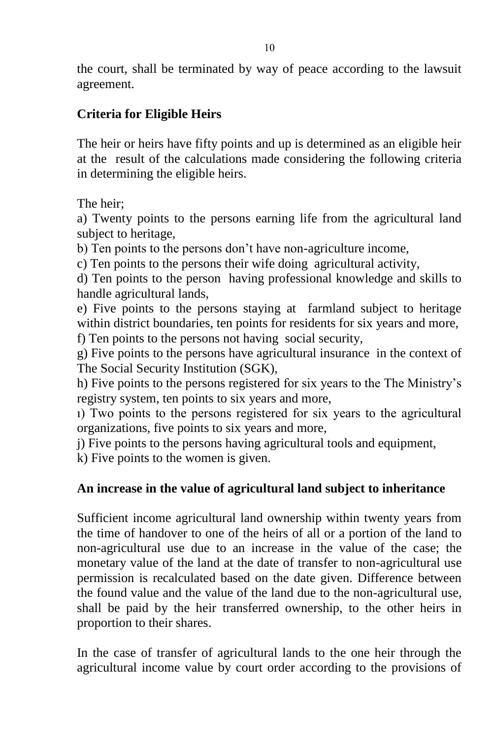the court, shall be terminated by way of peace according to the lawsuit agreement.

# **Criteria for Eligible Heirs**

The heir or heirs have fifty points and up is determined as an eligible heir at the result of the calculations made considering the following criteria in determining the eligible heirs.

The heir;

a) Twenty points to the persons earning life from the agricultural land subject to heritage,

b) Ten points to the persons don't have non-agriculture income,

c) Ten points to the persons their wife doing agricultural activity,

d) Ten points to the person having professional knowledge and skills to handle agricultural lands,

e) Five points to the persons staying at farmland subject to heritage within district boundaries, ten points for residents for six years and more,

f) Ten points to the persons not having social security,

g) Five points to the persons have agricultural insurance in the context of The Social Security Institution (SGK),

h) Five points to the persons registered for six years to the The Ministry's registry system, ten points to six years and more,

ı) Two points to the persons registered for six years to the agricultural organizations, five points to six years and more,

j) Five points to the persons having agricultural tools and equipment,

k) Five points to the women is given.

# **An increase in the value of agricultural land subject to inheritance**

Sufficient income agricultural land ownership within twenty years from the time of handover to one of the heirs of all or a portion of the land to non-agricultural use due to an increase in the value of the case; the monetary value of the land at the date of transfer to non-agricultural use permission is recalculated based on the date given. Difference between the found value and the value of the land due to the non-agricultural use, shall be paid by the heir transferred ownership, to the other heirs in proportion to their shares.

In the case of transfer of agricultural lands to the one heir through the agricultural income value by court order according to the provisions of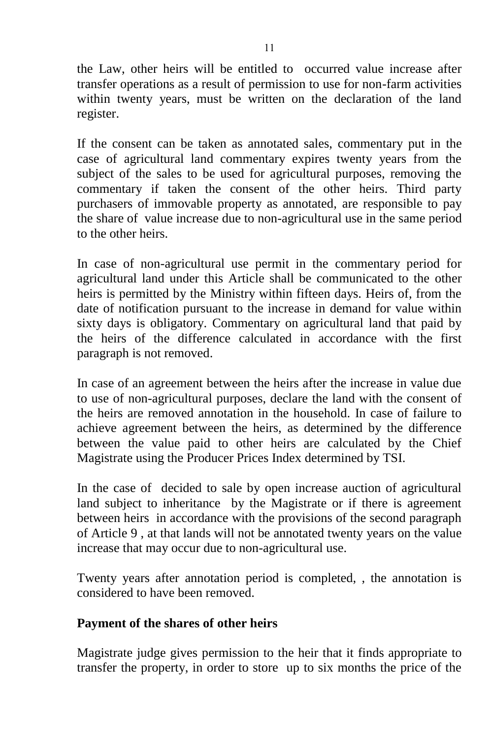the Law, other heirs will be entitled to occurred value increase after transfer operations as a result of permission to use for non-farm activities within twenty years, must be written on the declaration of the land register.

If the consent can be taken as annotated sales, commentary put in the case of agricultural land commentary expires twenty years from the subject of the sales to be used for agricultural purposes, removing the commentary if taken the consent of the other heirs. Third party purchasers of immovable property as annotated, are responsible to pay the share of value increase due to non-agricultural use in the same period to the other heirs.

In case of non-agricultural use permit in the commentary period for agricultural land under this Article shall be communicated to the other heirs is permitted by the Ministry within fifteen days. Heirs of, from the date of notification pursuant to the increase in demand for value within sixty days is obligatory. Commentary on agricultural land that paid by the heirs of the difference calculated in accordance with the first paragraph is not removed.

In case of an agreement between the heirs after the increase in value due to use of non-agricultural purposes, declare the land with the consent of the heirs are removed annotation in the household. In case of failure to achieve agreement between the heirs, as determined by the difference between the value paid to other heirs are calculated by the Chief Magistrate using the Producer Prices Index determined by TSI.

In the case of decided to sale by open increase auction of agricultural land subject to inheritance by the Magistrate or if there is agreement between heirs in accordance with the provisions of the second paragraph of Article 9 , at that lands will not be annotated twenty years on the value increase that may occur due to non-agricultural use.

Twenty years after annotation period is completed, , the annotation is considered to have been removed.

#### **Payment of the shares of other heirs**

Magistrate judge gives permission to the heir that it finds appropriate to transfer the property, in order to store up to six months the price of the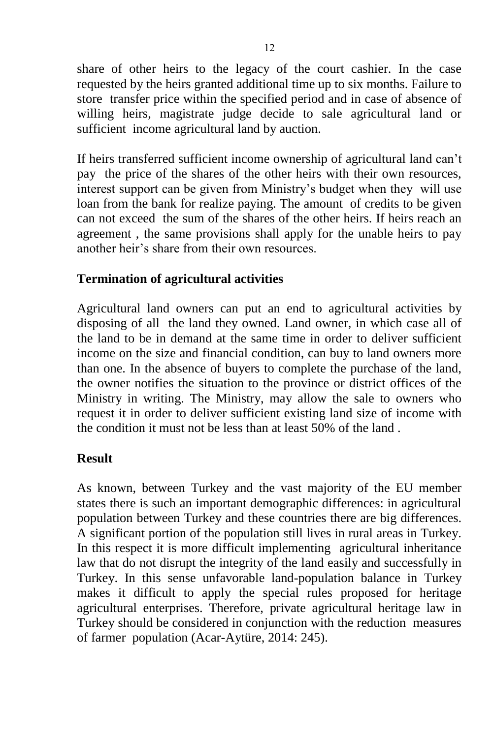share of other heirs to the legacy of the court cashier. In the case requested by the heirs granted additional time up to six months. Failure to store transfer price within the specified period and in case of absence of willing heirs, magistrate judge decide to sale agricultural land or sufficient income agricultural land by auction.

If heirs transferred sufficient income ownership of agricultural land can't pay the price of the shares of the other heirs with their own resources, interest support can be given from Ministry's budget when they will use loan from the bank for realize paying. The amount of credits to be given can not exceed the sum of the shares of the other heirs. If heirs reach an agreement , the same provisions shall apply for the unable heirs to pay another heir's share from their own resources.

#### **Termination of agricultural activities**

Agricultural land owners can put an end to agricultural activities by disposing of all the land they owned. Land owner, in which case all of the land to be in demand at the same time in order to deliver sufficient income on the size and financial condition, can buy to land owners more than one. In the absence of buyers to complete the purchase of the land, the owner notifies the situation to the province or district offices of the Ministry in writing. The Ministry, may allow the sale to owners who request it in order to deliver sufficient existing land size of income with the condition it must not be less than at least 50% of the land .

# **Result**

As known, between Turkey and the vast majority of the EU member states there is such an important demographic differences: in agricultural population between Turkey and these countries there are big differences. A significant portion of the population still lives in rural areas in Turkey. In this respect it is more difficult implementing agricultural inheritance law that do not disrupt the integrity of the land easily and successfully in Turkey. In this sense unfavorable land-population balance in Turkey makes it difficult to apply the special rules proposed for heritage agricultural enterprises. Therefore, private agricultural heritage law in Turkey should be considered in conjunction with the reduction measures of farmer population (Acar-Aytüre, 2014: 245).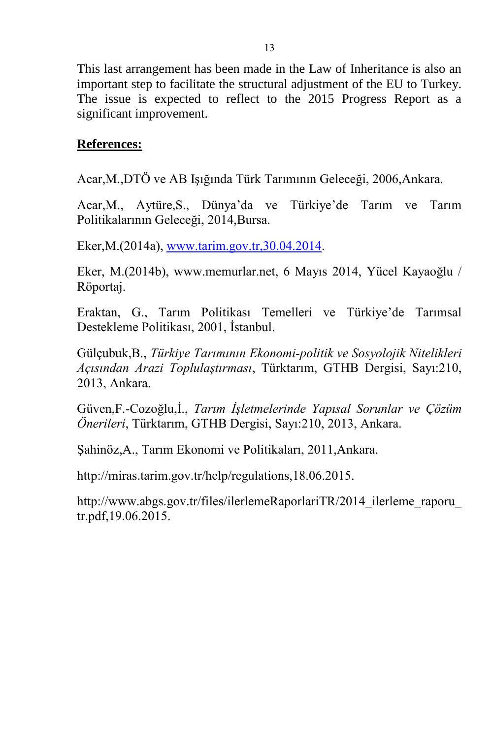This last arrangement has been made in the Law of Inheritance is also an important step to facilitate the structural adjustment of the EU to Turkey. The issue is expected to reflect to the 2015 Progress Report as a significant improvement.

#### **References:**

Acar,M.,DTÖ ve AB Işığında Türk Tarımının Geleceği, 2006,Ankara.

Acar,M., Aytüre,S., Dünya'da ve Türkiye'de Tarım ve Tarım Politikalarının Geleceği, 2014,Bursa.

Eker,M.(2014a), [www.tarim.gov.tr,30.04.2014.](http://www.tarim.gov.tr,30.04.2014/)

Eker, M.(2014b), www.memurlar.net, 6 Mayıs 2014, Yücel Kayaoğlu / Röportaj.

Eraktan, G., Tarım Politikası Temelleri ve Türkiye'de Tarımsal Destekleme Politikası, 2001, İstanbul.

Gülçubuk,B., *Türkiye Tarımının Ekonomi-politik ve Sosyolojik Nitelikleri Açısından Arazi Toplulaştırması*, Türktarım, GTHB Dergisi, Sayı:210, 2013, Ankara.

Güven,F.-Cozoğlu,İ., *Tarım İşletmelerinde Yapısal Sorunlar ve Çözüm Önerileri*, Türktarım, GTHB Dergisi, Sayı:210, 2013, Ankara.

Şahinöz,A., Tarım Ekonomi ve Politikaları, 2011,Ankara.

http://miras.tarim.gov.tr/help/regulations,18.06.2015.

http://www.abgs.gov.tr/files/ilerlemeRaporlariTR/2014 ilerleme\_raporu tr.pdf,19.06.2015.